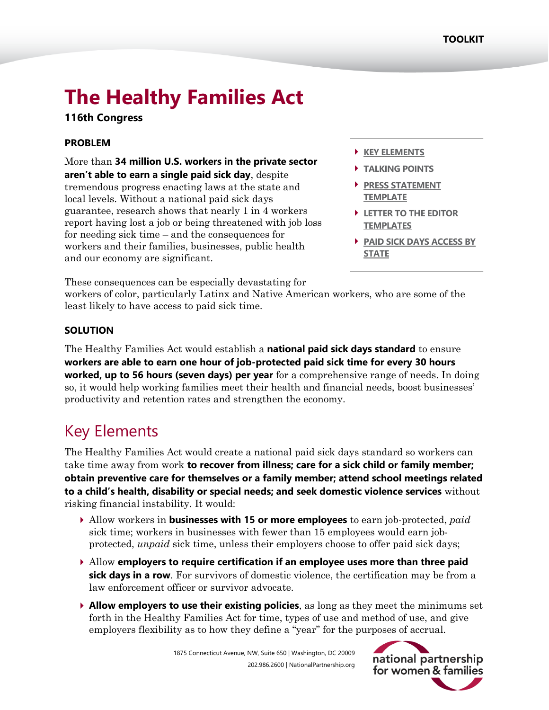# **The Healthy Families Act**

### **116th Congress**

### **PROBLEM**

More than **34 million U.S. workers in the private sector aren't able to earn a single paid sick day**, despite tremendous progress enacting laws at the state and local levels. Without a national paid sick days guarantee, research shows that nearly 1 in 4 workers report having lost a job or being threatened with job loss for needing sick time – and the consequences for workers and their families, businesses, public health and our economy are significant.

- **[KEY ELEMENTS](#page-0-0)**
- **[TALKING POINTS](#page-1-0)**
- **PRESS STATEMENT [TEMPLATE](#page-2-0)**
- **[LETTER TO THE EDITOR](#page-2-1)  [TEMPLATES](#page-2-1)**
- **[PAID SICK DAYS ACCESS BY](#page-7-0) [STATE](#page-7-0)**

These consequences can be especially devastating for

workers of color, particularly Latinx and Native American workers, who are some of the least likely to have access to paid sick time.

### **SOLUTION**

The Healthy Families Act would establish a **national paid sick days standard** to ensure **workers are able to earn one hour of job-protected paid sick time for every 30 hours worked, up to 56 hours (seven days) per year** for a comprehensive range of needs. In doing so, it would help working families meet their health and financial needs, boost businesses' productivity and retention rates and strengthen the economy.

# <span id="page-0-0"></span>Key Elements

The Healthy Families Act would create a national paid sick days standard so workers can take time away from work **to recover from illness; care for a sick child or family member; obtain preventive care for themselves or a family member; attend school meetings related to a child's health, disability or special needs; and seek domestic violence services** without risking financial instability. It would:

- Allow workers in **businesses with 15 or more employees** to earn job-protected, *paid* sick time; workers in businesses with fewer than 15 employees would earn jobprotected, *unpaid* sick time, unless their employers choose to offer paid sick days;
- Allow **employers to require certification if an employee uses more than three paid sick days in a row**. For survivors of domestic violence, the certification may be from a law enforcement officer or survivor advocate.
- **Allow employers to use their existing policies**, as long as they meet the minimums set forth in the Healthy Families Act for time, types of use and method of use, and give employers flexibility as to how they define a "year" for the purposes of accrual.

1875 Connecticut Avenue, NW, Suite 650 | Washington, DC 20009 202.986.2600 | NationalPartnership.org

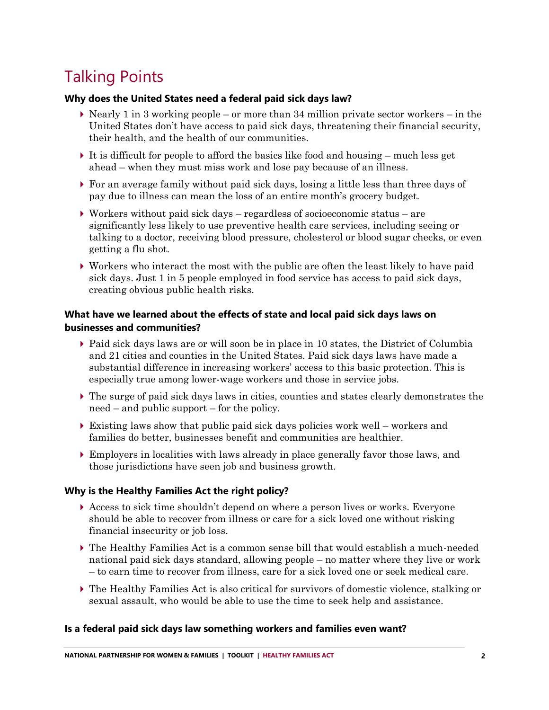# <span id="page-1-0"></span>Talking Points

### **Why does the United States need a federal paid sick days law?**

- $\triangleright$  Nearly 1 in 3 working people or more than 34 million private sector workers in the United States don't have access to paid sick days, threatening their financial security, their health, and the health of our communities.
- It is difficult for people to afford the basics like food and housing much less get ahead – when they must miss work and lose pay because of an illness.
- For an average family without paid sick days, losing a little less than three days of pay due to illness can mean the loss of an entire month's grocery budget.
- $\triangleright$  Workers without paid sick days regardless of socioeconomic status are significantly less likely to use preventive health care services, including seeing or talking to a doctor, receiving blood pressure, cholesterol or blood sugar checks, or even getting a flu shot.
- Workers who interact the most with the public are often the least likely to have paid sick days. Just 1 in 5 people employed in food service has access to paid sick days, creating obvious public health risks.

### **What have we learned about the effects of state and local paid sick days laws on businesses and communities?**

- Paid sick days laws are or will soon be in place in 10 states, the District of Columbia and 21 cities and counties in the United States. Paid sick days laws have made a substantial difference in increasing workers' access to this basic protection. This is especially true among lower-wage workers and those in service jobs.
- The surge of paid sick days laws in cities, counties and states clearly demonstrates the need – and public support – for the policy.
- $\triangleright$  Existing laws show that public paid sick days policies work well workers and families do better, businesses benefit and communities are healthier.
- Employers in localities with laws already in place generally favor those laws, and those jurisdictions have seen job and business growth.

### **Why is the Healthy Families Act the right policy?**

- Access to sick time shouldn't depend on where a person lives or works. Everyone should be able to recover from illness or care for a sick loved one without risking financial insecurity or job loss.
- The Healthy Families Act is a common sense bill that would establish a much-needed national paid sick days standard, allowing people – no matter where they live or work – to earn time to recover from illness, care for a sick loved one or seek medical care.
- The Healthy Families Act is also critical for survivors of domestic violence, stalking or sexual assault, who would be able to use the time to seek help and assistance.

### **Is a federal paid sick days law something workers and families even want?**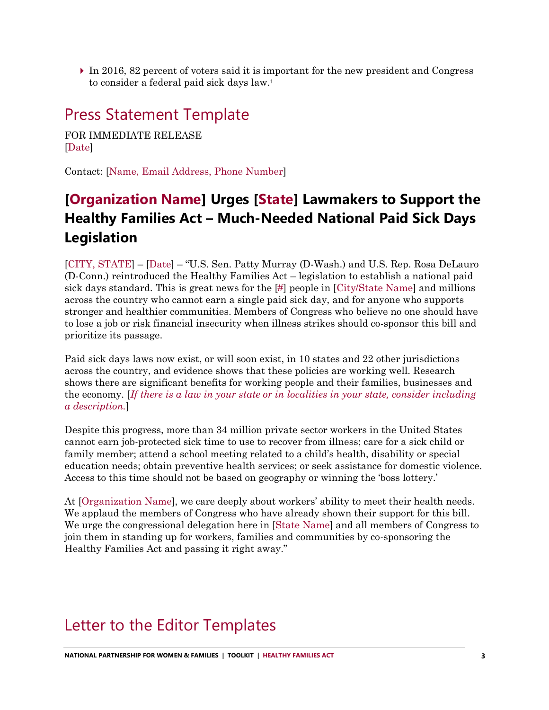$\triangleright$  In 2016, 82 percent of voters said it is important for the new president and Congress to consider a federal paid sick days law. 1

### <span id="page-2-0"></span>Press Statement Template

FOR IMMEDIATE RELEASE [Date]

Contact: [Name, Email Address, Phone Number]

### **[Organization Name] Urges [State] Lawmakers to Support the Healthy Families Act – Much-Needed National Paid Sick Days Legislation**

[CITY, STATE] – [Date] – "U.S. Sen. Patty Murray (D-Wash.) and U.S. Rep. Rosa DeLauro (D-Conn.) reintroduced the Healthy Families Act – legislation to establish a national paid sick days standard. This is great news for the [#] people in [City/State Name] and millions across the country who cannot earn a single paid sick day, and for anyone who supports stronger and healthier communities. Members of Congress who believe no one should have to lose a job or risk financial insecurity when illness strikes should co-sponsor this bill and prioritize its passage.

Paid sick days laws now exist, or will soon exist, in 10 states and 22 other jurisdictions across the country, and evidence shows that these policies are working well. Research shows there are significant benefits for working people and their families, businesses and the economy. [*If there is a law in your state or in localities in your state, consider including a description.*]

Despite this progress, more than 34 million private sector workers in the United States cannot earn job-protected sick time to use to recover from illness; care for a sick child or family member; attend a school meeting related to a child's health, disability or special education needs; obtain preventive health services; or seek assistance for domestic violence. Access to this time should not be based on geography or winning the 'boss lottery.'

At [Organization Name], we care deeply about workers' ability to meet their health needs. We applaud the members of Congress who have already shown their support for this bill. We urge the congressional delegation here in [State Name] and all members of Congress to join them in standing up for workers, families and communities by co-sponsoring the Healthy Families Act and passing it right away."

### <span id="page-2-1"></span>Letter to the Editor Templates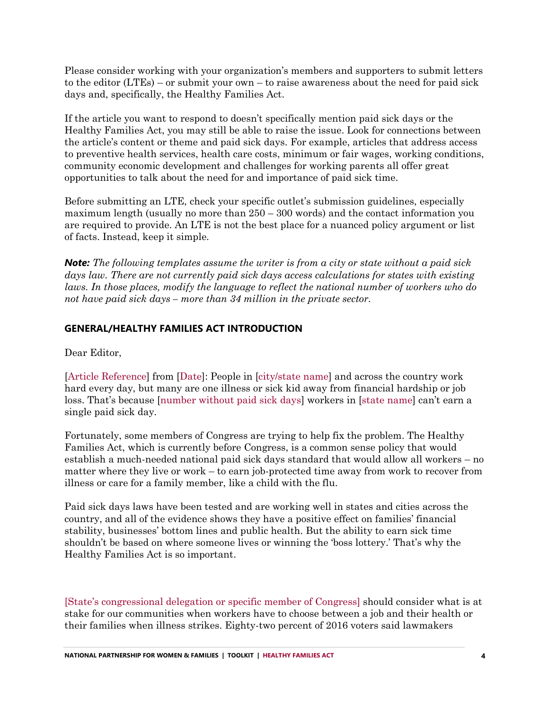Please consider working with your organization's members and supporters to submit letters to the editor (LTEs) – or submit your own – to raise awareness about the need for paid sick days and, specifically, the Healthy Families Act.

If the article you want to respond to doesn't specifically mention paid sick days or the Healthy Families Act, you may still be able to raise the issue. Look for connections between the article's content or theme and paid sick days. For example, articles that address access to preventive health services, health care costs, minimum or fair wages, working conditions, community economic development and challenges for working parents all offer great opportunities to talk about the need for and importance of paid sick time.

Before submitting an LTE, check your specific outlet's submission guidelines, especially maximum length (usually no more than 250 – 300 words) and the contact information you are required to provide. An LTE is not the best place for a nuanced policy argument or list of facts. Instead, keep it simple.

*Note: The following templates assume the writer is from a city or state without a paid sick days law. There are not currently paid sick days access calculations for states with existing laws. In those places, modify the language to reflect the national number of workers who do not have paid sick days – more than 34 million in the private sector.*

### **GENERAL/HEALTHY FAMILIES ACT INTRODUCTION**

Dear Editor,

[Article Reference] from [Date]: People in [city/state name] and across the country work hard every day, but many are one illness or sick kid away from financial hardship or job loss. That's because [number without paid sick days] workers in [state name] can't earn a single paid sick day.

Fortunately, some members of Congress are trying to help fix the problem. The Healthy Families Act, which is currently before Congress, is a common sense policy that would establish a much-needed national paid sick days standard that would allow all workers – no matter where they live or work – to earn job-protected time away from work to recover from illness or care for a family member, like a child with the flu.

Paid sick days laws have been tested and are working well in states and cities across the country, and all of the evidence shows they have a positive effect on families' financial stability, businesses' bottom lines and public health. But the ability to earn sick time shouldn't be based on where someone lives or winning the 'boss lottery.' That's why the Healthy Families Act is so important.

[State's congressional delegation or specific member of Congress] should consider what is at stake for our communities when workers have to choose between a job and their health or their families when illness strikes. Eighty-two percent of 2016 voters said lawmakers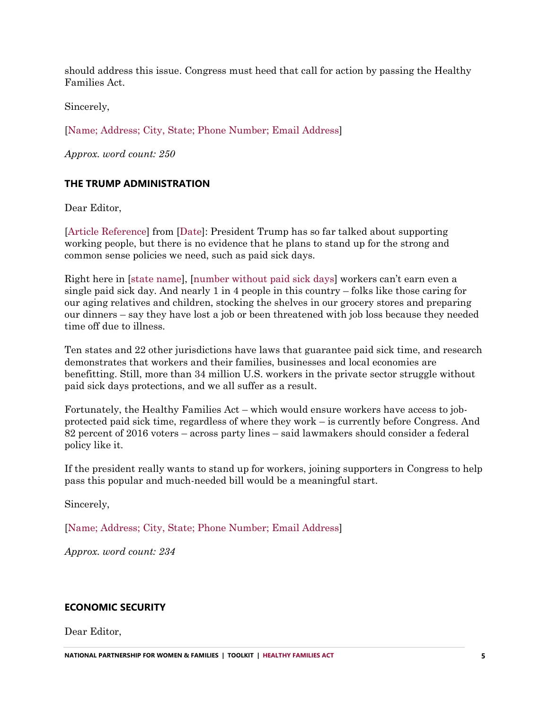should address this issue. Congress must heed that call for action by passing the Healthy Families Act.

Sincerely,

[Name; Address; City, State; Phone Number; Email Address]

*Approx. word count: 250*

### **THE TRUMP ADMINISTRATION**

Dear Editor,

[Article Reference] from [Date]: President Trump has so far talked about supporting working people, but there is no evidence that he plans to stand up for the strong and common sense policies we need, such as paid sick days.

Right here in [state name], [number without paid sick days] workers can't earn even a single paid sick day. And nearly 1 in 4 people in this country – folks like those caring for our aging relatives and children, stocking the shelves in our grocery stores and preparing our dinners – say they have lost a job or been threatened with job loss because they needed time off due to illness.

Ten states and 22 other jurisdictions have laws that guarantee paid sick time, and research demonstrates that workers and their families, businesses and local economies are benefitting. Still, more than 34 million U.S. workers in the private sector struggle without paid sick days protections, and we all suffer as a result.

Fortunately, the Healthy Families Act – which would ensure workers have access to jobprotected paid sick time, regardless of where they work – is currently before Congress. And 82 percent of 2016 voters – across party lines – said lawmakers should consider a federal policy like it.

If the president really wants to stand up for workers, joining supporters in Congress to help pass this popular and much-needed bill would be a meaningful start.

Sincerely,

[Name; Address; City, State; Phone Number; Email Address]

*Approx. word count: 234*

### **ECONOMIC SECURITY**

Dear Editor,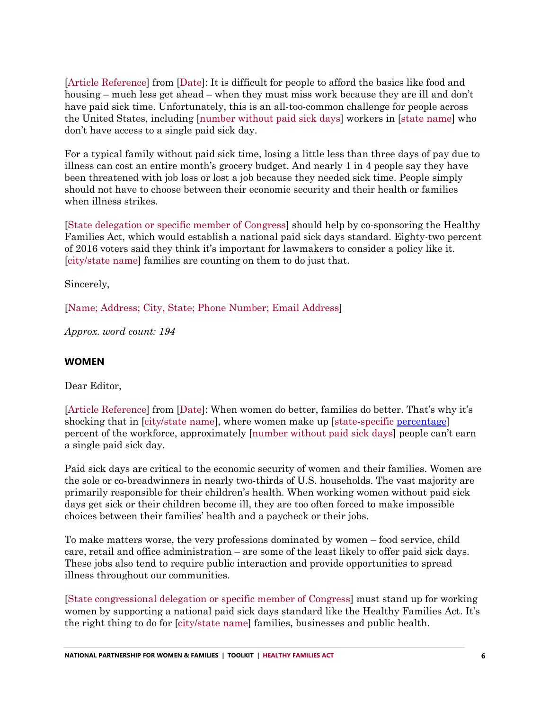[Article Reference] from [Date]: It is difficult for people to afford the basics like food and housing – much less get ahead – when they must miss work because they are ill and don't have paid sick time. Unfortunately, this is an all-too-common challenge for people across the United States, including [number without paid sick days] workers in [state name] who don't have access to a single paid sick day.

For a typical family without paid sick time, losing a little less than three days of pay due to illness can cost an entire month's grocery budget. And nearly 1 in 4 people say they have been threatened with job loss or lost a job because they needed sick time. People simply should not have to choose between their economic security and their health or families when illness strikes.

[State delegation or specific member of Congress] should help by co-sponsoring the Healthy Families Act, which would establish a national paid sick days standard. Eighty-two percent of 2016 voters said they think it's important for lawmakers to consider a policy like it. [city/state name] families are counting on them to do just that.

Sincerely,

[Name; Address; City, State; Phone Number; Email Address]

*Approx. word count: 194*

### **WOMEN**

Dear Editor,

[Article Reference] from [Date]: When women do better, families do better. That's why it's shocking that in [city/state name], where women make up [state-specific [percentage\]](http://www.nationalpartnership.org/ffa) percent of the workforce, approximately [number without paid sick days] people can't earn a single paid sick day.

Paid sick days are critical to the economic security of women and their families. Women are the sole or co-breadwinners in nearly two-thirds of U.S. households. The vast majority are primarily responsible for their children's health. When working women without paid sick days get sick or their children become ill, they are too often forced to make impossible choices between their families' health and a paycheck or their jobs.

To make matters worse, the very professions dominated by women – food service, child care, retail and office administration – are some of the least likely to offer paid sick days. These jobs also tend to require public interaction and provide opportunities to spread illness throughout our communities.

[State congressional delegation or specific member of Congress] must stand up for working women by supporting a national paid sick days standard like the Healthy Families Act. It's the right thing to do for [city/state name] families, businesses and public health.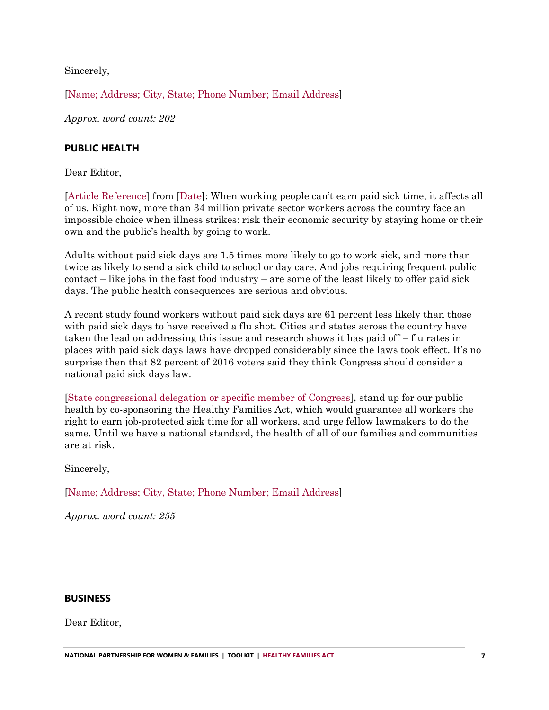Sincerely,

[Name; Address; City, State; Phone Number; Email Address]

*Approx. word count: 202*

### **PUBLIC HEALTH**

Dear Editor,

[Article Reference] from [Date]: When working people can't earn paid sick time, it affects all of us. Right now, more than 34 million private sector workers across the country face an impossible choice when illness strikes: risk their economic security by staying home or their own and the public's health by going to work.

Adults without paid sick days are 1.5 times more likely to go to work sick, and more than twice as likely to send a sick child to school or day care. And jobs requiring frequent public contact – like jobs in the fast food industry – are some of the least likely to offer paid sick days. The public health consequences are serious and obvious.

A recent study found workers without paid sick days are 61 percent less likely than those with paid sick days to have received a flu shot. Cities and states across the country have taken the lead on addressing this issue and research shows it has paid off – flu rates in places with paid sick days laws have dropped considerably since the laws took effect. It's no surprise then that 82 percent of 2016 voters said they think Congress should consider a national paid sick days law.

[State congressional delegation or specific member of Congress], stand up for our public health by co-sponsoring the Healthy Families Act, which would guarantee all workers the right to earn job-protected sick time for all workers, and urge fellow lawmakers to do the same. Until we have a national standard, the health of all of our families and communities are at risk.

Sincerely,

[Name; Address; City, State; Phone Number; Email Address]

*Approx. word count: 255*

#### **BUSINESS**

Dear Editor,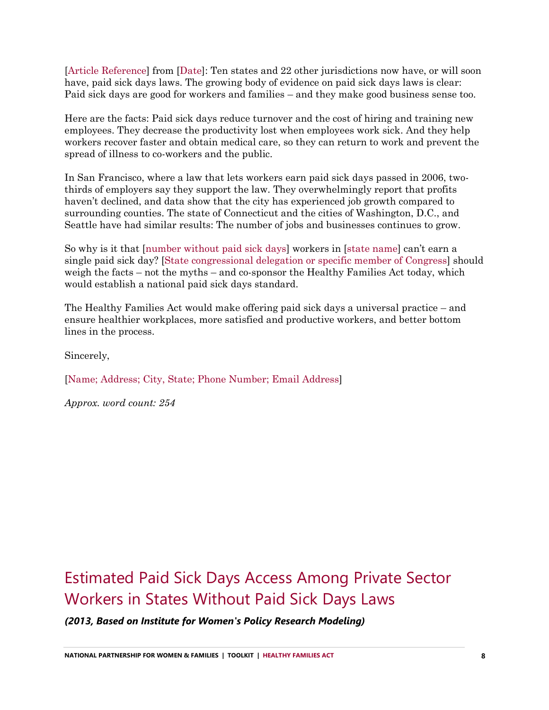[Article Reference] from [Date]: Ten states and 22 other jurisdictions now have, or will soon have, paid sick days laws. The growing body of evidence on paid sick days laws is clear: Paid sick days are good for workers and families – and they make good business sense too.

Here are the facts: Paid sick days reduce turnover and the cost of hiring and training new employees. They decrease the productivity lost when employees work sick. And they help workers recover faster and obtain medical care, so they can return to work and prevent the spread of illness to co-workers and the public.

In San Francisco, where a law that lets workers earn paid sick days passed in 2006, twothirds of employers say they support the law. They overwhelmingly report that profits haven't declined, and data show that the city has experienced job growth compared to surrounding counties. The state of Connecticut and the cities of Washington, D.C., and Seattle have had similar results: The number of jobs and businesses continues to grow.

So why is it that [number without paid sick days] workers in [state name] can't earn a single paid sick day? [State congressional delegation or specific member of Congress] should weigh the facts – not the myths – and co-sponsor the Healthy Families Act today, which would establish a national paid sick days standard.

The Healthy Families Act would make offering paid sick days a universal practice – and ensure healthier workplaces, more satisfied and productive workers, and better bottom lines in the process.

Sincerely,

[Name; Address; City, State; Phone Number; Email Address]

*Approx. word count: 254*

## <span id="page-7-0"></span>Estimated Paid Sick Days Access Among Private Sector Workers in States Without Paid Sick Days Laws

*(2013, Based on Institute for Women's Policy Research Modeling)*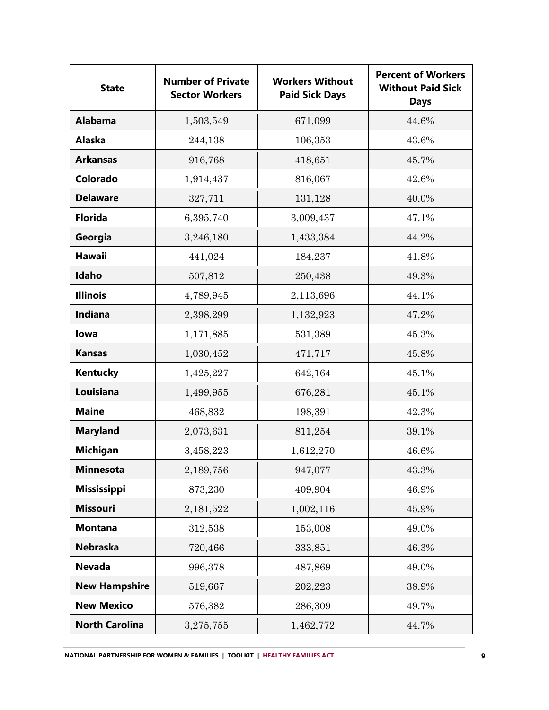| <b>State</b>          | <b>Number of Private</b><br><b>Sector Workers</b> | <b>Workers Without</b><br><b>Paid Sick Days</b> | <b>Percent of Workers</b><br><b>Without Paid Sick</b><br><b>Days</b> |
|-----------------------|---------------------------------------------------|-------------------------------------------------|----------------------------------------------------------------------|
| <b>Alabama</b>        | 1,503,549                                         | 671,099                                         | 44.6%                                                                |
| <b>Alaska</b>         | 244,138                                           | 106,353                                         | 43.6%                                                                |
| <b>Arkansas</b>       | 916,768                                           | 418,651                                         | 45.7%                                                                |
| Colorado              | 1,914,437                                         | 816,067                                         | 42.6%                                                                |
| <b>Delaware</b>       | 327,711                                           | 131,128                                         | 40.0%                                                                |
| <b>Florida</b>        | 6,395,740                                         | 3,009,437                                       | 47.1%                                                                |
| Georgia               | 3,246,180                                         | 1,433,384                                       | 44.2%                                                                |
| <b>Hawaii</b>         | 441,024                                           | 184,237                                         | 41.8%                                                                |
| Idaho                 | 507,812                                           | 250,438                                         | 49.3%                                                                |
| <b>Illinois</b>       | 4,789,945                                         | 2,113,696                                       | 44.1%                                                                |
| Indiana               | 2,398,299                                         | 1,132,923                                       | 47.2%                                                                |
| lowa                  | 1,171,885                                         | 531,389                                         | 45.3%                                                                |
| <b>Kansas</b>         | 1,030,452                                         | 471,717                                         | 45.8%                                                                |
| <b>Kentucky</b>       | 1,425,227                                         | 642,164                                         | 45.1%                                                                |
| Louisiana             | 1,499,955                                         | 676,281                                         | 45.1%                                                                |
| <b>Maine</b>          | 468,832                                           | 198,391                                         | 42.3%                                                                |
| <b>Maryland</b>       | 2,073,631                                         | 811,254                                         | 39.1%                                                                |
| <b>Michigan</b>       | 3,458,223                                         | 1,612,270                                       | 46.6%                                                                |
| <b>Minnesota</b>      | 2,189,756                                         | 947,077                                         | 43.3%                                                                |
| <b>Mississippi</b>    | 873,230                                           | 409,904                                         | 46.9%                                                                |
| <b>Missouri</b>       | 2,181,522                                         | 1,002,116                                       | 45.9%                                                                |
| <b>Montana</b>        | 312,538                                           | 153,008                                         | 49.0%                                                                |
| <b>Nebraska</b>       | 720,466                                           | 333,851                                         | 46.3%                                                                |
| <b>Nevada</b>         | 996,378                                           | 487,869                                         | 49.0%                                                                |
| <b>New Hampshire</b>  | 519,667                                           | 202,223                                         | 38.9%                                                                |
| <b>New Mexico</b>     | 576,382                                           | 286,309                                         | 49.7%                                                                |
| <b>North Carolina</b> | 3,275,755                                         | 1,462,772                                       | 44.7%                                                                |